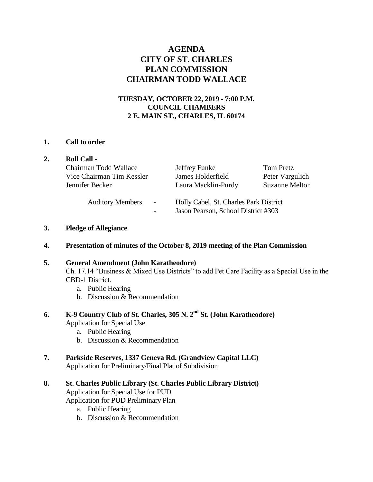# **AGENDA CITY OF ST. CHARLES PLAN COMMISSION CHAIRMAN TODD WALLACE**

### **TUESDAY, OCTOBER 22, 2019 - 7:00 P.M. COUNCIL CHAMBERS 2 E. MAIN ST., CHARLES, IL 60174**

#### **1. Call to order**

|  | <b>Roll Call -</b>                                                    |                                                                               |                                                       |
|--|-----------------------------------------------------------------------|-------------------------------------------------------------------------------|-------------------------------------------------------|
|  | Chairman Todd Wallace<br>Vice Chairman Tim Kessler<br>Jennifer Becker | Jeffrey Funke<br>James Holderfield<br>Laura Macklin-Purdy                     | Tom Pretz<br>Peter Vargulich<br><b>Suzanne Melton</b> |
|  | <b>Auditory Members</b><br>$\overline{\phantom{a}}$<br>$\overline{a}$ | Holly Cabel, St. Charles Park District<br>Jason Pearson, School District #303 |                                                       |

#### **3. Pledge of Allegiance**

#### **4. Presentation of minutes of the October 8, 2019 meeting of the Plan Commission**

#### **5. General Amendment (John Karatheodore)**

Ch. 17.14 "Business & Mixed Use Districts" to add Pet Care Facility as a Special Use in the CBD-1 District.

- a. Public Hearing
- b. Discussion & Recommendation

## **6. K-9 Country Club of St. Charles, 305 N. 2nd St. (John Karatheodore)**  Application for Special Use

- a. Public Hearing
- b. Discussion & Recommendation

#### **7. Parkside Reserves, 1337 Geneva Rd. (Grandview Capital LLC)** Application for Preliminary/Final Plat of Subdivision

#### **8. St. Charles Public Library (St. Charles Public Library District)** Application for Special Use for PUD

- Application for PUD Preliminary Plan
	- a. Public Hearing
	- b. Discussion & Recommendation